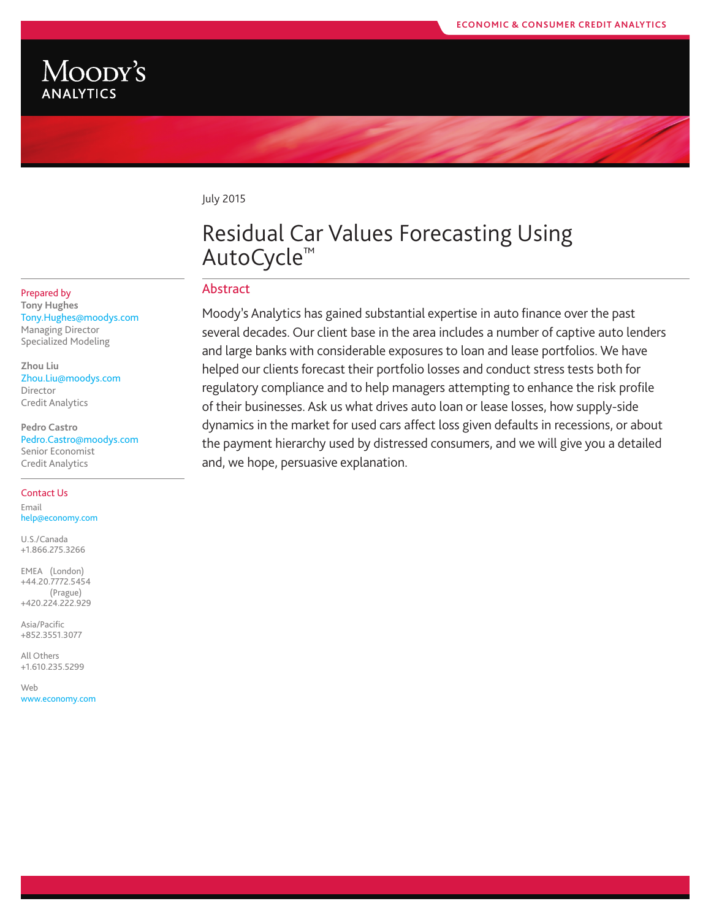

July 2015

# Residual Car Values Forecasting Using AutoCycle™

# Abstract

Moody's Analytics has gained substantial expertise in auto finance over the past several decades. Our client base in the area includes a number of captive auto lenders and large banks with considerable exposures to loan and lease portfolios. We have helped our clients forecast their portfolio losses and conduct stress tests both for regulatory compliance and to help managers attempting to enhance the risk profile of their businesses. Ask us what drives auto loan or lease losses, how supply-side dynamics in the market for used cars affect loss given defaults in recessions, or about the payment hierarchy used by distressed consumers, and we will give you a detailed and, we hope, persuasive explanation.

#### Prepared by **Tony Hughes**

Tony.Hughes@moodys.com Managing Director Specialized Modeling

**Zhou Liu** Zhou.Liu@moodys.com Director Credit Analytics

**Pedro Castro** Pedro.Castro@moodys.com Senior Economist Credit Analytics

#### Contact Us

Email help@economy.com

U.S./Canada +1.866.275.3266

EMEA (London) +44.20.7772.5454 (Prague) +420.224.222.929

Asia/Pacific +852.3551.3077

All Others +1.610.235.5299

Web www.economy.com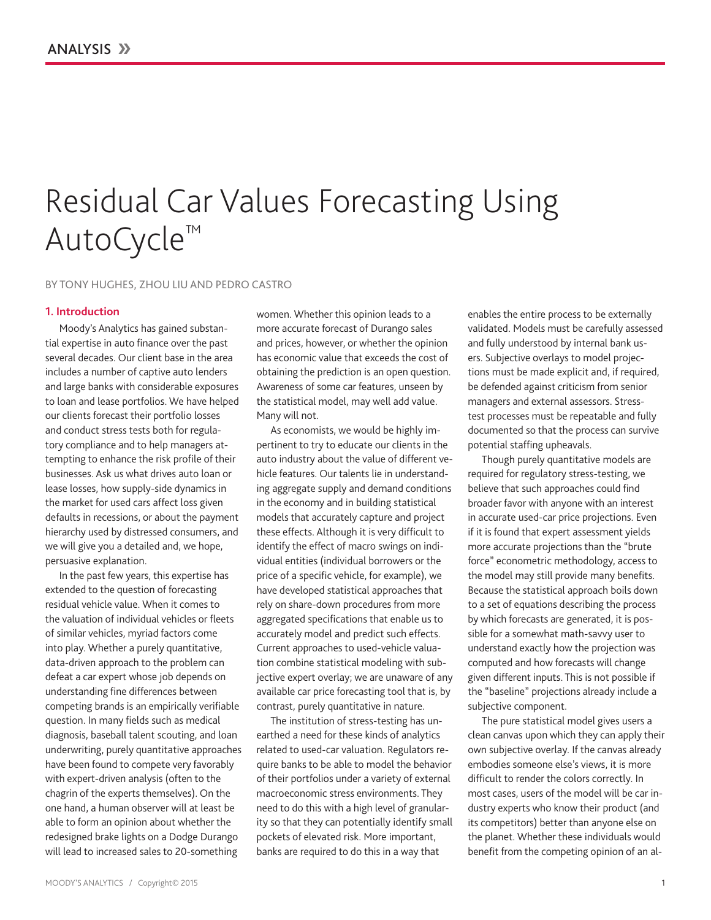# Residual Car Values Forecasting Using AutoCycle™

#### BY TONY HUGHES, ZHOU LIU AND PEDRO CASTRO

#### **1. Introduction**

Moody's Analytics has gained substantial expertise in auto finance over the past several decades. Our client base in the area includes a number of captive auto lenders and large banks with considerable exposures to loan and lease portfolios. We have helped our clients forecast their portfolio losses and conduct stress tests both for regulatory compliance and to help managers attempting to enhance the risk profile of their businesses. Ask us what drives auto loan or lease losses, how supply-side dynamics in the market for used cars affect loss given defaults in recessions, or about the payment hierarchy used by distressed consumers, and we will give you a detailed and, we hope, persuasive explanation.

In the past few years, this expertise has extended to the question of forecasting residual vehicle value. When it comes to the valuation of individual vehicles or fleets of similar vehicles, myriad factors come into play. Whether a purely quantitative, data-driven approach to the problem can defeat a car expert whose job depends on understanding fine differences between competing brands is an empirically verifiable question. In many fields such as medical diagnosis, baseball talent scouting, and loan underwriting, purely quantitative approaches have been found to compete very favorably with expert-driven analysis (often to the chagrin of the experts themselves). On the one hand, a human observer will at least be able to form an opinion about whether the redesigned brake lights on a Dodge Durango will lead to increased sales to 20-something

women. Whether this opinion leads to a more accurate forecast of Durango sales and prices, however, or whether the opinion has economic value that exceeds the cost of obtaining the prediction is an open question. Awareness of some car features, unseen by the statistical model, may well add value. Many will not.

As economists, we would be highly impertinent to try to educate our clients in the auto industry about the value of different vehicle features. Our talents lie in understanding aggregate supply and demand conditions in the economy and in building statistical models that accurately capture and project these effects. Although it is very difficult to identify the effect of macro swings on individual entities (individual borrowers or the price of a specific vehicle, for example), we have developed statistical approaches that rely on share-down procedures from more aggregated specifications that enable us to accurately model and predict such effects. Current approaches to used-vehicle valuation combine statistical modeling with subjective expert overlay; we are unaware of any available car price forecasting tool that is, by contrast, purely quantitative in nature.

The institution of stress-testing has unearthed a need for these kinds of analytics related to used-car valuation. Regulators require banks to be able to model the behavior of their portfolios under a variety of external macroeconomic stress environments. They need to do this with a high level of granularity so that they can potentially identify small pockets of elevated risk. More important, banks are required to do this in a way that

enables the entire process to be externally validated. Models must be carefully assessed and fully understood by internal bank users. Subjective overlays to model projections must be made explicit and, if required, be defended against criticism from senior managers and external assessors. Stresstest processes must be repeatable and fully documented so that the process can survive potential staffing upheavals.

Though purely quantitative models are required for regulatory stress-testing, we believe that such approaches could find broader favor with anyone with an interest in accurate used-car price projections. Even if it is found that expert assessment yields more accurate projections than the "brute force" econometric methodology, access to the model may still provide many benefits. Because the statistical approach boils down to a set of equations describing the process by which forecasts are generated, it is possible for a somewhat math-savvy user to understand exactly how the projection was computed and how forecasts will change given different inputs. This is not possible if the "baseline" projections already include a subjective component.

The pure statistical model gives users a clean canvas upon which they can apply their own subjective overlay. If the canvas already embodies someone else's views, it is more difficult to render the colors correctly. In most cases, users of the model will be car industry experts who know their product (and its competitors) better than anyone else on the planet. Whether these individuals would benefit from the competing opinion of an al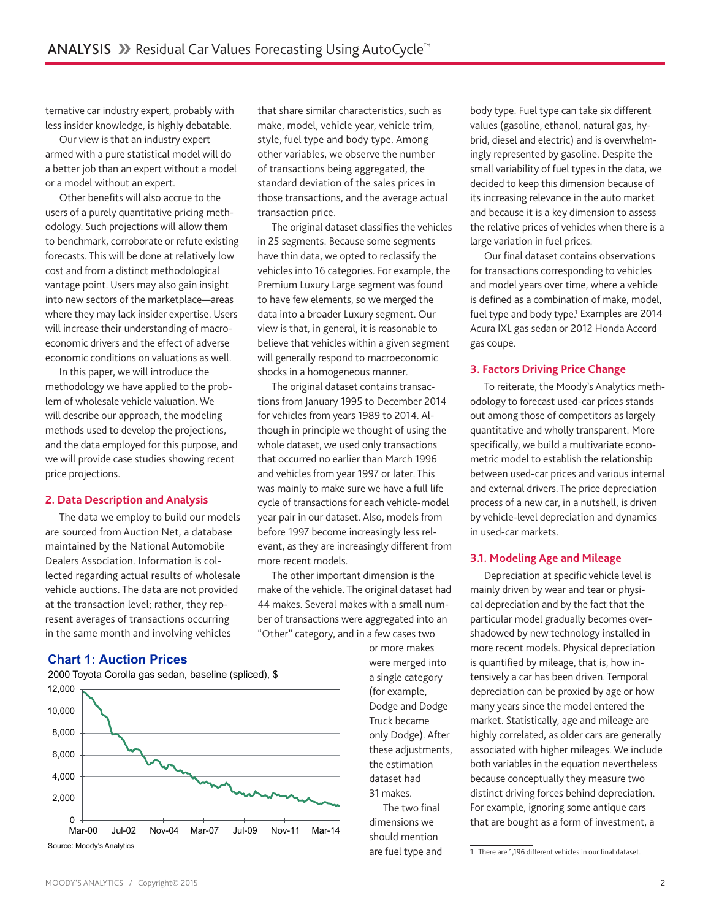ternative car industry expert, probably with less insider knowledge, is highly debatable.

Our view is that an industry expert armed with a pure statistical model will do a better job than an expert without a model or a model without an expert.

Other benefits will also accrue to the users of a purely quantitative pricing methodology. Such projections will allow them to benchmark, corroborate or refute existing forecasts. This will be done at relatively low cost and from a distinct methodological vantage point. Users may also gain insight into new sectors of the marketplace—areas where they may lack insider expertise. Users will increase their understanding of macroeconomic drivers and the effect of adverse economic conditions on valuations as well.

In this paper, we will introduce the methodology we have applied to the problem of wholesale vehicle valuation. We will describe our approach, the modeling methods used to develop the projections, and the data employed for this purpose, and we will provide case studies showing recent price projections.

# **2. Data Description and Analysis**

The data we employ to build our models are sourced from Auction Net, a database maintained by the National Automobile Dealers Association. Information is collected regarding actual results of wholesale vehicle auctions. The data are not provided at the transaction level; rather, they represent averages of transactions occurring in the same month and involving vehicles

# **Chart 1: Auction Prices**

2000 Toyota Corolla gas sedan, baseline (spliced), \$



Source: Moody's Analytics

that share similar characteristics, such as make, model, vehicle year, vehicle trim, style, fuel type and body type. Among other variables, we observe the number of transactions being aggregated, the standard deviation of the sales prices in those transactions, and the average actual transaction price.

The original dataset classifies the vehicles in 25 segments. Because some segments have thin data, we opted to reclassify the vehicles into 16 categories. For example, the Premium Luxury Large segment was found to have few elements, so we merged the data into a broader Luxury segment. Our view is that, in general, it is reasonable to believe that vehicles within a given segment will generally respond to macroeconomic shocks in a homogeneous manner.

The original dataset contains transactions from January 1995 to December 2014 for vehicles from years 1989 to 2014. Although in principle we thought of using the whole dataset, we used only transactions that occurred no earlier than March 1996 and vehicles from year 1997 or later. This was mainly to make sure we have a full life cycle of transactions for each vehicle-model year pair in our dataset. Also, models from before 1997 become increasingly less relevant, as they are increasingly different from more recent models.

The other important dimension is the make of the vehicle. The original dataset had 44 makes. Several makes with a small number of transactions were aggregated into an "Other" category, and in a few cases two

or more makes were merged into a single category (for example, Dodge and Dodge Truck became only Dodge). After these adjustments, the estimation dataset had 31 makes.

The two final dimensions we should mention are fuel type and

body type. Fuel type can take six different values (gasoline, ethanol, natural gas, hybrid, diesel and electric) and is overwhelmingly represented by gasoline. Despite the small variability of fuel types in the data, we decided to keep this dimension because of its increasing relevance in the auto market and because it is a key dimension to assess the relative prices of vehicles when there is a large variation in fuel prices.

Our final dataset contains observations for transactions corresponding to vehicles and model years over time, where a vehicle is defined as a combination of make, model, fuel type and body type.<sup>1</sup> Examples are 2014 Acura IXL gas sedan or 2012 Honda Accord gas coupe.

#### **3. Factors Driving Price Change**

To reiterate, the Moody's Analytics methodology to forecast used-car prices stands out among those of competitors as largely quantitative and wholly transparent. More specifically, we build a multivariate econometric model to establish the relationship between used-car prices and various internal and external drivers. The price depreciation process of a new car, in a nutshell, is driven by vehicle-level depreciation and dynamics in used-car markets.

#### **3.1. Modeling Age and Mileage**

Depreciation at specific vehicle level is mainly driven by wear and tear or physical depreciation and by the fact that the particular model gradually becomes overshadowed by new technology installed in more recent models. Physical depreciation is quantified by mileage, that is, how intensively a car has been driven. Temporal depreciation can be proxied by age or how many years since the model entered the market. Statistically, age and mileage are highly correlated, as older cars are generally associated with higher mileages. We include both variables in the equation nevertheless because conceptually they measure two distinct driving forces behind depreciation. For example, ignoring some antique cars that are bought as a form of investment, a

1 There are 1,196 different vehicles in our final dataset.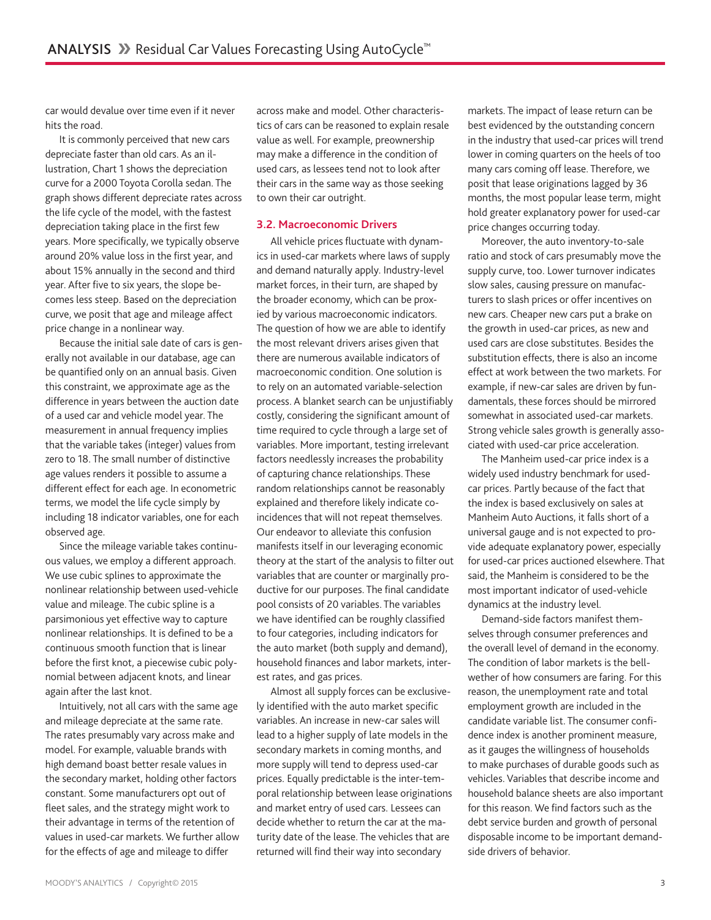car would devalue over time even if it never hits the road.

It is commonly perceived that new cars depreciate faster than old cars. As an illustration, Chart 1 shows the depreciation curve for a 2000 Toyota Corolla sedan. The graph shows different depreciate rates across the life cycle of the model, with the fastest depreciation taking place in the first few years. More specifically, we typically observe around 20% value loss in the first year, and about 15% annually in the second and third year. After five to six years, the slope becomes less steep. Based on the depreciation curve, we posit that age and mileage affect price change in a nonlinear way.

Because the initial sale date of cars is generally not available in our database, age can be quantified only on an annual basis. Given this constraint, we approximate age as the difference in years between the auction date of a used car and vehicle model year. The measurement in annual frequency implies that the variable takes (integer) values from zero to 18. The small number of distinctive age values renders it possible to assume a different effect for each age. In econometric terms, we model the life cycle simply by including 18 indicator variables, one for each observed age.

Since the mileage variable takes continuous values, we employ a different approach. We use cubic splines to approximate the nonlinear relationship between used-vehicle value and mileage. The cubic spline is a parsimonious yet effective way to capture nonlinear relationships. It is defined to be a continuous smooth function that is linear before the first knot, a piecewise cubic polynomial between adjacent knots, and linear again after the last knot.

Intuitively, not all cars with the same age and mileage depreciate at the same rate. The rates presumably vary across make and model. For example, valuable brands with high demand boast better resale values in the secondary market, holding other factors constant. Some manufacturers opt out of fleet sales, and the strategy might work to their advantage in terms of the retention of values in used-car markets. We further allow for the effects of age and mileage to differ

across make and model. Other characteristics of cars can be reasoned to explain resale value as well. For example, preownership may make a difference in the condition of used cars, as lessees tend not to look after their cars in the same way as those seeking to own their car outright.

# **3.2. Macroeconomic Drivers**

All vehicle prices fluctuate with dynamics in used-car markets where laws of supply and demand naturally apply. Industry-level market forces, in their turn, are shaped by the broader economy, which can be proxied by various macroeconomic indicators. The question of how we are able to identify the most relevant drivers arises given that there are numerous available indicators of macroeconomic condition. One solution is to rely on an automated variable-selection process. A blanket search can be unjustifiably costly, considering the significant amount of time required to cycle through a large set of variables. More important, testing irrelevant factors needlessly increases the probability of capturing chance relationships. These random relationships cannot be reasonably explained and therefore likely indicate coincidences that will not repeat themselves. Our endeavor to alleviate this confusion manifests itself in our leveraging economic theory at the start of the analysis to filter out variables that are counter or marginally productive for our purposes. The final candidate pool consists of 20 variables. The variables we have identified can be roughly classified to four categories, including indicators for the auto market (both supply and demand), household finances and labor markets, interest rates, and gas prices.

Almost all supply forces can be exclusively identified with the auto market specific variables. An increase in new-car sales will lead to a higher supply of late models in the secondary markets in coming months, and more supply will tend to depress used-car prices. Equally predictable is the inter-temporal relationship between lease originations and market entry of used cars. Lessees can decide whether to return the car at the maturity date of the lease. The vehicles that are returned will find their way into secondary

markets. The impact of lease return can be best evidenced by the outstanding concern in the industry that used-car prices will trend lower in coming quarters on the heels of too many cars coming off lease. Therefore, we posit that lease originations lagged by 36 months, the most popular lease term, might hold greater explanatory power for used-car price changes occurring today.

Moreover, the auto inventory-to-sale ratio and stock of cars presumably move the supply curve, too. Lower turnover indicates slow sales, causing pressure on manufacturers to slash prices or offer incentives on new cars. Cheaper new cars put a brake on the growth in used-car prices, as new and used cars are close substitutes. Besides the substitution effects, there is also an income effect at work between the two markets. For example, if new-car sales are driven by fundamentals, these forces should be mirrored somewhat in associated used-car markets. Strong vehicle sales growth is generally associated with used-car price acceleration.

The Manheim used-car price index is a widely used industry benchmark for usedcar prices. Partly because of the fact that the index is based exclusively on sales at Manheim Auto Auctions, it falls short of a universal gauge and is not expected to provide adequate explanatory power, especially for used-car prices auctioned elsewhere. That said, the Manheim is considered to be the most important indicator of used-vehicle dynamics at the industry level.

Demand-side factors manifest themselves through consumer preferences and the overall level of demand in the economy. The condition of labor markets is the bellwether of how consumers are faring. For this reason, the unemployment rate and total employment growth are included in the candidate variable list. The consumer confidence index is another prominent measure, as it gauges the willingness of households to make purchases of durable goods such as vehicles. Variables that describe income and household balance sheets are also important for this reason. We find factors such as the debt service burden and growth of personal disposable income to be important demandside drivers of behavior.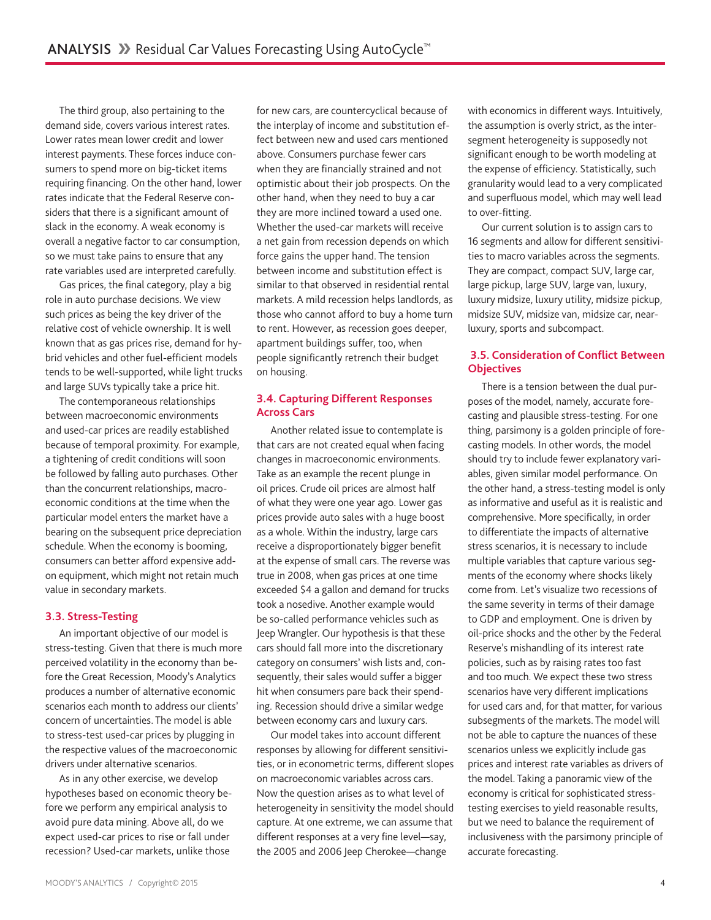The third group, also pertaining to the demand side, covers various interest rates. Lower rates mean lower credit and lower interest payments. These forces induce consumers to spend more on big-ticket items requiring financing. On the other hand, lower rates indicate that the Federal Reserve considers that there is a significant amount of slack in the economy. A weak economy is overall a negative factor to car consumption, so we must take pains to ensure that any rate variables used are interpreted carefully.

Gas prices, the final category, play a big role in auto purchase decisions. We view such prices as being the key driver of the relative cost of vehicle ownership. It is well known that as gas prices rise, demand for hybrid vehicles and other fuel-efficient models tends to be well-supported, while light trucks and large SUVs typically take a price hit.

The contemporaneous relationships between macroeconomic environments and used-car prices are readily established because of temporal proximity. For example, a tightening of credit conditions will soon be followed by falling auto purchases. Other than the concurrent relationships, macroeconomic conditions at the time when the particular model enters the market have a bearing on the subsequent price depreciation schedule. When the economy is booming, consumers can better afford expensive addon equipment, which might not retain much value in secondary markets.

#### **3.3. Stress-Testing**

An important objective of our model is stress-testing. Given that there is much more perceived volatility in the economy than before the Great Recession, Moody's Analytics produces a number of alternative economic scenarios each month to address our clients' concern of uncertainties. The model is able to stress-test used-car prices by plugging in the respective values of the macroeconomic drivers under alternative scenarios.

As in any other exercise, we develop hypotheses based on economic theory before we perform any empirical analysis to avoid pure data mining. Above all, do we expect used-car prices to rise or fall under recession? Used-car markets, unlike those

for new cars, are countercyclical because of the interplay of income and substitution effect between new and used cars mentioned above. Consumers purchase fewer cars when they are financially strained and not optimistic about their job prospects. On the other hand, when they need to buy a car they are more inclined toward a used one. Whether the used-car markets will receive a net gain from recession depends on which force gains the upper hand. The tension between income and substitution effect is similar to that observed in residential rental markets. A mild recession helps landlords, as those who cannot afford to buy a home turn to rent. However, as recession goes deeper, apartment buildings suffer, too, when people significantly retrench their budget on housing.

# **3.4. Capturing Different Responses Across Cars**

Another related issue to contemplate is that cars are not created equal when facing changes in macroeconomic environments. Take as an example the recent plunge in oil prices. Crude oil prices are almost half of what they were one year ago. Lower gas prices provide auto sales with a huge boost as a whole. Within the industry, large cars receive a disproportionately bigger benefit at the expense of small cars. The reverse was true in 2008, when gas prices at one time exceeded \$4 a gallon and demand for trucks took a nosedive. Another example would be so-called performance vehicles such as Jeep Wrangler. Our hypothesis is that these cars should fall more into the discretionary category on consumers' wish lists and, consequently, their sales would suffer a bigger hit when consumers pare back their spending. Recession should drive a similar wedge between economy cars and luxury cars.

Our model takes into account different responses by allowing for different sensitivities, or in econometric terms, different slopes on macroeconomic variables across cars. Now the question arises as to what level of heterogeneity in sensitivity the model should capture. At one extreme, we can assume that different responses at a very fine level—say, the 2005 and 2006 Jeep Cherokee—change

with economics in different ways. Intuitively, the assumption is overly strict, as the intersegment heterogeneity is supposedly not significant enough to be worth modeling at the expense of efficiency. Statistically, such granularity would lead to a very complicated and superfluous model, which may well lead to over-fitting.

Our current solution is to assign cars to 16 segments and allow for different sensitivities to macro variables across the segments. They are compact, compact SUV, large car, large pickup, large SUV, large van, luxury, luxury midsize, luxury utility, midsize pickup, midsize SUV, midsize van, midsize car, nearluxury, sports and subcompact.

# **3.5. Consideration of Conflict Between Objectives**

There is a tension between the dual purposes of the model, namely, accurate forecasting and plausible stress-testing. For one thing, parsimony is a golden principle of forecasting models. In other words, the model should try to include fewer explanatory variables, given similar model performance. On the other hand, a stress-testing model is only as informative and useful as it is realistic and comprehensive. More specifically, in order to differentiate the impacts of alternative stress scenarios, it is necessary to include multiple variables that capture various segments of the economy where shocks likely come from. Let's visualize two recessions of the same severity in terms of their damage to GDP and employment. One is driven by oil-price shocks and the other by the Federal Reserve's mishandling of its interest rate policies, such as by raising rates too fast and too much. We expect these two stress scenarios have very different implications for used cars and, for that matter, for various subsegments of the markets. The model will not be able to capture the nuances of these scenarios unless we explicitly include gas prices and interest rate variables as drivers of the model. Taking a panoramic view of the economy is critical for sophisticated stresstesting exercises to yield reasonable results, but we need to balance the requirement of inclusiveness with the parsimony principle of accurate forecasting.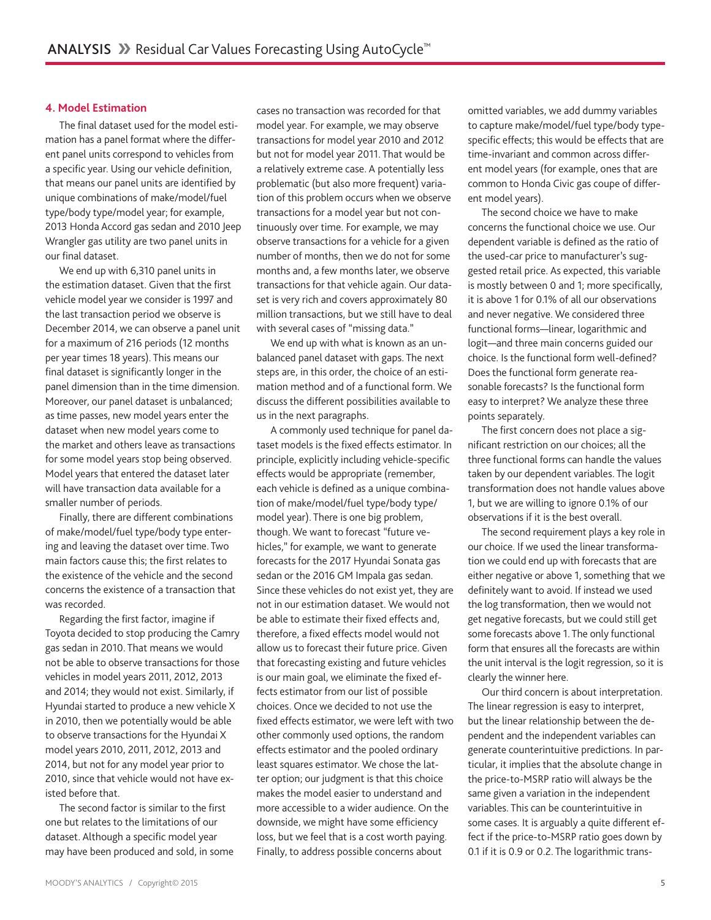#### **4. Model Estimation**

The final dataset used for the model estimation has a panel format where the different panel units correspond to vehicles from a specific year. Using our vehicle definition, that means our panel units are identified by unique combinations of make/model/fuel type/body type/model year; for example, 2013 Honda Accord gas sedan and 2010 Jeep Wrangler gas utility are two panel units in our final dataset.

We end up with 6,310 panel units in the estimation dataset. Given that the first vehicle model year we consider is 1997 and the last transaction period we observe is December 2014, we can observe a panel unit for a maximum of 216 periods (12 months per year times 18 years). This means our final dataset is significantly longer in the panel dimension than in the time dimension. Moreover, our panel dataset is unbalanced; as time passes, new model years enter the dataset when new model years come to the market and others leave as transactions for some model years stop being observed. Model years that entered the dataset later will have transaction data available for a smaller number of periods.

Finally, there are different combinations of make/model/fuel type/body type entering and leaving the dataset over time. Two main factors cause this; the first relates to the existence of the vehicle and the second concerns the existence of a transaction that was recorded.

Regarding the first factor, imagine if Toyota decided to stop producing the Camry gas sedan in 2010. That means we would not be able to observe transactions for those vehicles in model years 2011, 2012, 2013 and 2014; they would not exist. Similarly, if Hyundai started to produce a new vehicle X in 2010, then we potentially would be able to observe transactions for the Hyundai X model years 2010, 2011, 2012, 2013 and 2014, but not for any model year prior to 2010, since that vehicle would not have existed before that.

The second factor is similar to the first one but relates to the limitations of our dataset. Although a specific model year may have been produced and sold, in some cases no transaction was recorded for that model year. For example, we may observe transactions for model year 2010 and 2012 but not for model year 2011. That would be a relatively extreme case. A potentially less problematic (but also more frequent) variation of this problem occurs when we observe transactions for a model year but not continuously over time. For example, we may observe transactions for a vehicle for a given number of months, then we do not for some months and, a few months later, we observe transactions for that vehicle again. Our dataset is very rich and covers approximately 80 million transactions, but we still have to deal with several cases of "missing data."

We end up with what is known as an unbalanced panel dataset with gaps. The next steps are, in this order, the choice of an estimation method and of a functional form. We discuss the different possibilities available to us in the next paragraphs.

A commonly used technique for panel dataset models is the fixed effects estimator. In principle, explicitly including vehicle-specific effects would be appropriate (remember, each vehicle is defined as a unique combination of make/model/fuel type/body type/ model year). There is one big problem, though. We want to forecast "future vehicles," for example, we want to generate forecasts for the 2017 Hyundai Sonata gas sedan or the 2016 GM Impala gas sedan. Since these vehicles do not exist yet, they are not in our estimation dataset. We would not be able to estimate their fixed effects and, therefore, a fixed effects model would not allow us to forecast their future price. Given that forecasting existing and future vehicles is our main goal, we eliminate the fixed effects estimator from our list of possible choices. Once we decided to not use the fixed effects estimator, we were left with two other commonly used options, the random effects estimator and the pooled ordinary least squares estimator. We chose the latter option; our judgment is that this choice makes the model easier to understand and more accessible to a wider audience. On the downside, we might have some efficiency loss, but we feel that is a cost worth paying. Finally, to address possible concerns about

omitted variables, we add dummy variables to capture make/model/fuel type/body typespecific effects; this would be effects that are time-invariant and common across different model years (for example, ones that are common to Honda Civic gas coupe of different model years).

The second choice we have to make concerns the functional choice we use. Our dependent variable is defined as the ratio of the used-car price to manufacturer's suggested retail price. As expected, this variable is mostly between 0 and 1; more specifically, it is above 1 for 0.1% of all our observations and never negative. We considered three functional forms—linear, logarithmic and logit—and three main concerns guided our choice. Is the functional form well-defined? Does the functional form generate reasonable forecasts? Is the functional form easy to interpret? We analyze these three points separately.

The first concern does not place a significant restriction on our choices; all the three functional forms can handle the values taken by our dependent variables. The logit transformation does not handle values above 1, but we are willing to ignore 0.1% of our observations if it is the best overall.

The second requirement plays a key role in our choice. If we used the linear transformation we could end up with forecasts that are either negative or above 1, something that we definitely want to avoid. If instead we used the log transformation, then we would not get negative forecasts, but we could still get some forecasts above 1. The only functional form that ensures all the forecasts are within the unit interval is the logit regression, so it is clearly the winner here.

Our third concern is about interpretation. The linear regression is easy to interpret, but the linear relationship between the dependent and the independent variables can generate counterintuitive predictions. In particular, it implies that the absolute change in the price-to-MSRP ratio will always be the same given a variation in the independent variables. This can be counterintuitive in some cases. It is arguably a quite different effect if the price-to-MSRP ratio goes down by 0.1 if it is 0.9 or 0.2. The logarithmic trans-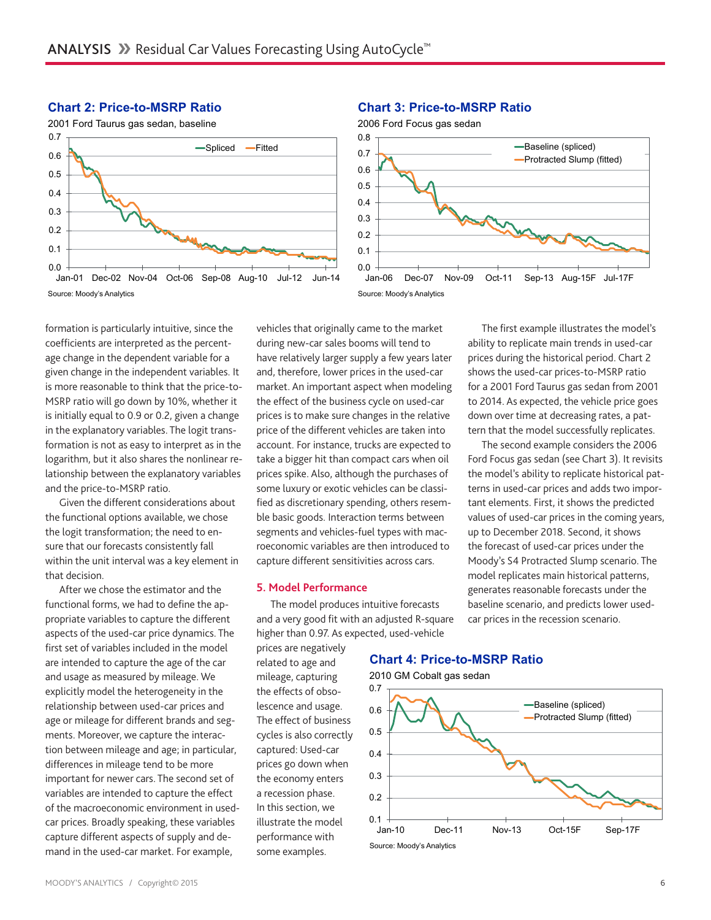

## **Chart 2: Price-to-MSRP Ratio**

# **Chart 3: Price-to-MSRP Ratio**



formation is particularly intuitive, since the coefficients are interpreted as the percentage change in the dependent variable for a given change in the independent variables. It is more reasonable to think that the price-to-MSRP ratio will go down by 10%, whether it is initially equal to 0.9 or 0.2, given a change in the explanatory variables. The logit transformation is not as easy to interpret as in the logarithm, but it also shares the nonlinear relationship between the explanatory variables and the price-to-MSRP ratio.

Given the different considerations about the functional options available, we chose the logit transformation; the need to ensure that our forecasts consistently fall within the unit interval was a key element in that decision.

After we chose the estimator and the functional forms, we had to define the appropriate variables to capture the different aspects of the used-car price dynamics. The first set of variables included in the model are intended to capture the age of the car and usage as measured by mileage. We explicitly model the heterogeneity in the relationship between used-car prices and age or mileage for different brands and segments. Moreover, we capture the interaction between mileage and age; in particular, differences in mileage tend to be more important for newer cars. The second set of variables are intended to capture the effect of the macroeconomic environment in usedcar prices. Broadly speaking, these variables capture different aspects of supply and demand in the used-car market. For example,

vehicles that originally came to the market during new-car sales booms will tend to have relatively larger supply a few years later and, therefore, lower prices in the used-car market. An important aspect when modeling the effect of the business cycle on used-car prices is to make sure changes in the relative price of the different vehicles are taken into account. For instance, trucks are expected to take a bigger hit than compact cars when oil prices spike. Also, although the purchases of some luxury or exotic vehicles can be classified as discretionary spending, others resemble basic goods. Interaction terms between segments and vehicles-fuel types with macroeconomic variables are then introduced to capture different sensitivities across cars.

#### **5. Model Performance**

The model produces intuitive forecasts and a very good fit with an adjusted R-square higher than 0.97. As expected, used-vehicle

prices are negatively related to age and mileage, capturing the effects of obsolescence and usage. The effect of business cycles is also correctly captured: Used-car prices go down when the economy enters a recession phase. In this section, we illustrate the model performance with some examples.

# **Chart 4: Price-to-MSRP Ratio**

2010 GM Cobalt gas sedan



The first example illustrates the model's ability to replicate main trends in used-car prices during the historical period. Chart 2 shows the used-car prices-to-MSRP ratio for a 2001 Ford Taurus gas sedan from 2001 to 2014. As expected, the vehicle price goes down over time at decreasing rates, a pattern that the model successfully replicates.

The second example considers the 2006 Ford Focus gas sedan (see Chart 3). It revisits the model's ability to replicate historical patterns in used-car prices and adds two important elements. First, it shows the predicted values of used-car prices in the coming years, up to December 2018. Second, it shows the forecast of used-car prices under the Moody's S4 Protracted Slump scenario. The model replicates main historical patterns, generates reasonable forecasts under the baseline scenario, and predicts lower usedcar prices in the recession scenario.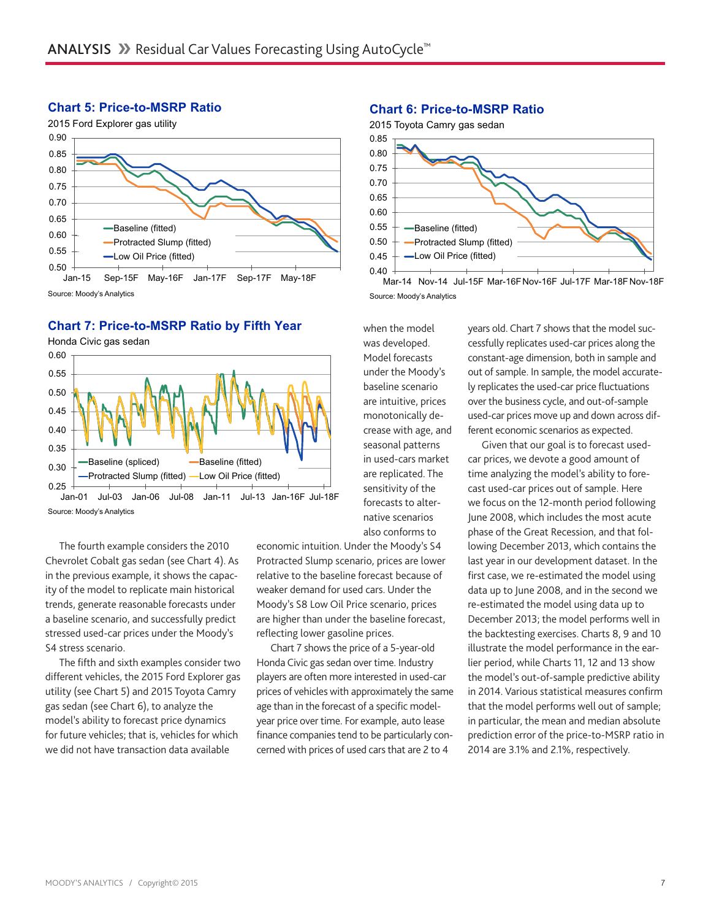

# **Chart 5: Price-to-MSRP Ratio**

## **Chart 7: Price-to-MSRP Ratio by Fifth Year**



Source: Moody's Analytics

The fourth example considers the 2010 Chevrolet Cobalt gas sedan (see Chart 4). As in the previous example, it shows the capacity of the model to replicate main historical trends, generate reasonable forecasts under a baseline scenario, and successfully predict stressed used-car prices under the Moody's S4 stress scenario.

The fifth and sixth examples consider two different vehicles, the 2015 Ford Explorer gas utility (see Chart 5) and 2015 Toyota Camry gas sedan (see Chart 6), to analyze the model's ability to forecast price dynamics for future vehicles; that is, vehicles for which we did not have transaction data available

economic intuition. Under the Moody's S4 Protracted Slump scenario, prices are lower relative to the baseline forecast because of weaker demand for used cars. Under the Moody's S8 Low Oil Price scenario, prices are higher than under the baseline forecast, reflecting lower gasoline prices.

Chart 7 shows the price of a 5-year-old Honda Civic gas sedan over time. Industry players are often more interested in used-car prices of vehicles with approximately the same age than in the forecast of a specific modelyear price over time. For example, auto lease finance companies tend to be particularly concerned with prices of used cars that are 2 to 4

# **Chart 6: Price-to-MSRP Ratio**



Mar-14 Nov-14 Jul-15F Mar-16FNov-16F Jul-17F Mar-18FNov-18F Source: Moody's Analytics

when the model was developed. Model forecasts under the Moody's baseline scenario are intuitive, prices monotonically decrease with age, and seasonal patterns in used-cars market are replicated. The sensitivity of the forecasts to alternative scenarios also conforms to

years old. Chart 7 shows that the model successfully replicates used-car prices along the constant-age dimension, both in sample and out of sample. In sample, the model accurately replicates the used-car price fluctuations over the business cycle, and out-of-sample used-car prices move up and down across different economic scenarios as expected.

Given that our goal is to forecast usedcar prices, we devote a good amount of time analyzing the model's ability to forecast used-car prices out of sample. Here we focus on the 12-month period following June 2008, which includes the most acute phase of the Great Recession, and that following December 2013, which contains the last year in our development dataset. In the first case, we re-estimated the model using data up to June 2008, and in the second we re-estimated the model using data up to December 2013; the model performs well in the backtesting exercises. Charts 8, 9 and 10 illustrate the model performance in the earlier period, while Charts 11, 12 and 13 show the model's out-of-sample predictive ability in 2014. Various statistical measures confirm that the model performs well out of sample; in particular, the mean and median absolute prediction error of the price-to-MSRP ratio in 2014 are 3.1% and 2.1%, respectively.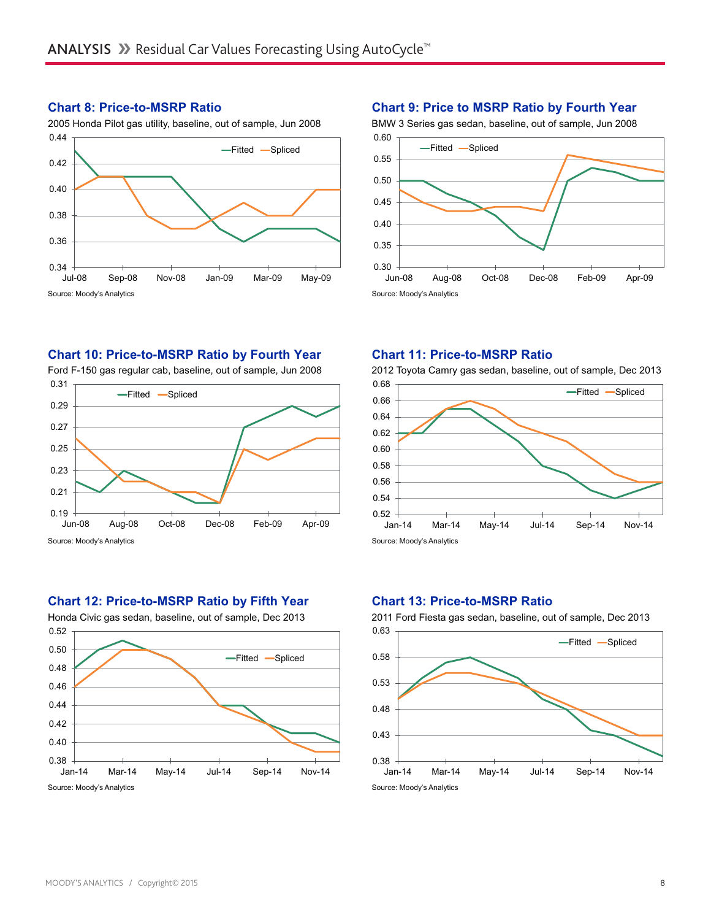# **Chart 8: Price-to-MSRP Ratio**

2005 Honda Pilot gas utility, baseline, out of sample, Jun 2008



## **Chart 9: Price to MSRP Ratio by Fourth Year**



## **Chart 10: Price-to-MSRP Ratio by Fourth Year**

Ford F-150 gas regular cab, baseline, out of sample, Jun 2008



# **Chart 12: Price-to-MSRP Ratio by Fifth Year**

Honda Civic gas sedan, baseline, out of sample, Dec 2013



## **Chart 11: Price-to-MSRP Ratio**



2012 Toyota Camry gas sedan, baseline, out of sample, Dec 2013

#### **Chart 13: Price-to-MSRP Ratio**

2011 Ford Fiesta gas sedan, baseline, out of sample, Dec 2013

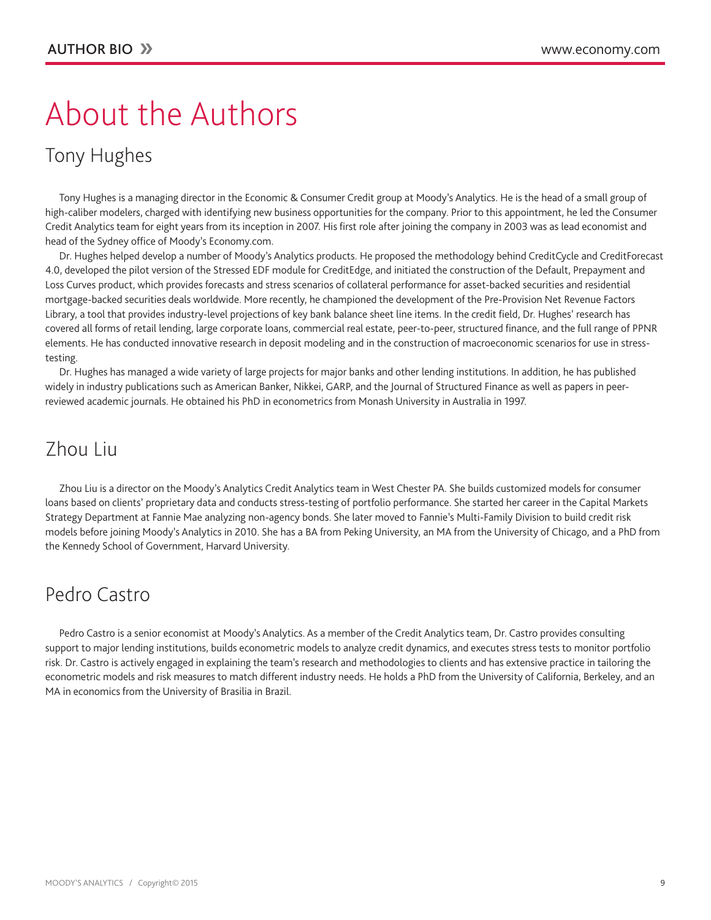# About the Authors

# Tony Hughes

Tony Hughes is a managing director in the Economic & Consumer Credit group at Moody's Analytics. He is the head of a small group of high-caliber modelers, charged with identifying new business opportunities for the company. Prior to this appointment, he led the Consumer Credit Analytics team for eight years from its inception in 2007. His first role after joining the company in 2003 was as lead economist and head of the Sydney office of Moody's Economy.com.

Dr. Hughes helped develop a number of Moody's Analytics products. He proposed the methodology behind CreditCycle and CreditForecast 4.0, developed the pilot version of the Stressed EDF module for CreditEdge, and initiated the construction of the Default, Prepayment and Loss Curves product, which provides forecasts and stress scenarios of collateral performance for asset-backed securities and residential mortgage-backed securities deals worldwide. More recently, he championed the development of the Pre-Provision Net Revenue Factors Library, a tool that provides industry-level projections of key bank balance sheet line items. In the credit field, Dr. Hughes' research has covered all forms of retail lending, large corporate loans, commercial real estate, peer-to-peer, structured finance, and the full range of PPNR elements. He has conducted innovative research in deposit modeling and in the construction of macroeconomic scenarios for use in stresstesting.

Dr. Hughes has managed a wide variety of large projects for major banks and other lending institutions. In addition, he has published widely in industry publications such as American Banker, Nikkei, GARP, and the Journal of Structured Finance as well as papers in peerreviewed academic journals. He obtained his PhD in econometrics from Monash University in Australia in 1997.

# Zhou Liu

Zhou Liu is a director on the Moody's Analytics Credit Analytics team in West Chester PA. She builds customized models for consumer loans based on clients' proprietary data and conducts stress-testing of portfolio performance. She started her career in the Capital Markets Strategy Department at Fannie Mae analyzing non-agency bonds. She later moved to Fannie's Multi-Family Division to build credit risk models before joining Moody's Analytics in 2010. She has a BA from Peking University, an MA from the University of Chicago, and a PhD from the Kennedy School of Government, Harvard University.

# Pedro Castro

Pedro Castro is a senior economist at Moody's Analytics. As a member of the Credit Analytics team, Dr. Castro provides consulting support to major lending institutions, builds econometric models to analyze credit dynamics, and executes stress tests to monitor portfolio risk. Dr. Castro is actively engaged in explaining the team's research and methodologies to clients and has extensive practice in tailoring the econometric models and risk measures to match different industry needs. He holds a PhD from the University of California, Berkeley, and an MA in economics from the University of Brasilia in Brazil.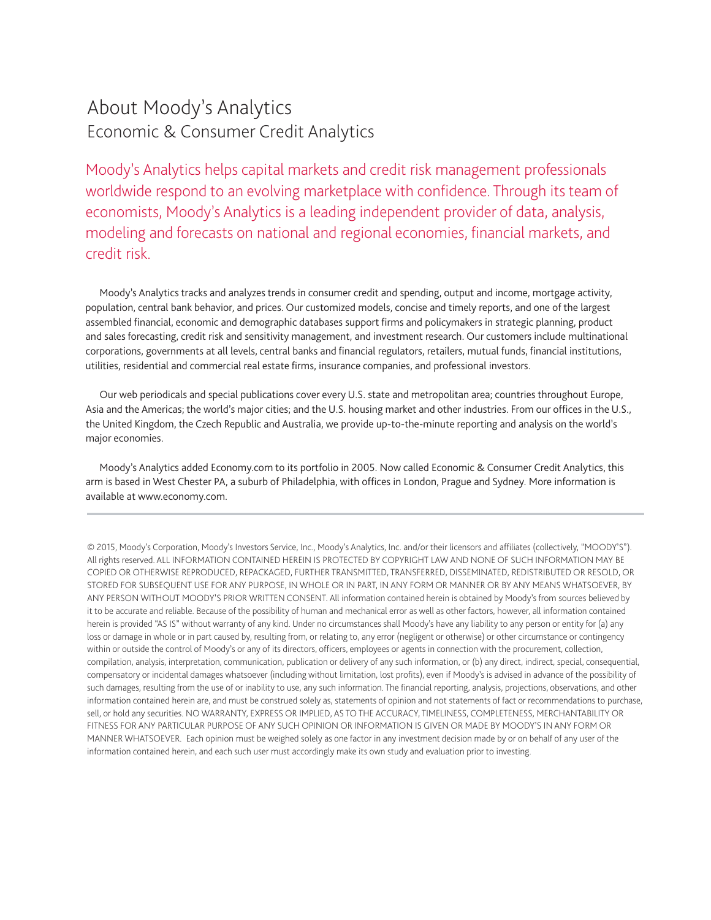# About Moody's Analytics Economic & Consumer Credit Analytics

Moody's Analytics helps capital markets and credit risk management professionals worldwide respond to an evolving marketplace with confidence. Through its team of economists, Moody's Analytics is a leading independent provider of data, analysis, modeling and forecasts on national and regional economies, financial markets, and credit risk.

Moody's Analytics tracks and analyzes trends in consumer credit and spending, output and income, mortgage activity, population, central bank behavior, and prices. Our customized models, concise and timely reports, and one of the largest assembled financial, economic and demographic databases support firms and policymakers in strategic planning, product and sales forecasting, credit risk and sensitivity management, and investment research. Our customers include multinational corporations, governments at all levels, central banks and financial regulators, retailers, mutual funds, financial institutions, utilities, residential and commercial real estate firms, insurance companies, and professional investors.

Our web periodicals and special publications cover every U.S. state and metropolitan area; countries throughout Europe, Asia and the Americas; the world's major cities; and the U.S. housing market and other industries. From our offices in the U.S., the United Kingdom, the Czech Republic and Australia, we provide up-to-the-minute reporting and analysis on the world's major economies.

Moody's Analytics added Economy.com to its portfolio in 2005. Now called Economic & Consumer Credit Analytics, this arm is based in West Chester PA, a suburb of Philadelphia, with offices in London, Prague and Sydney. More information is available at www.economy.com.

© 2015, Moody's Corporation, Moody's Investors Service, Inc., Moody's Analytics, Inc. and/or their licensors and affiliates (collectively, "MOODY'S"). All rights reserved. ALL INFORMATION CONTAINED HEREIN IS PROTECTED BY COPYRIGHT LAW AND NONE OF SUCH INFORMATION MAY BE COPIED OR OTHERWISE REPRODUCED, REPACKAGED, FURTHER TRANSMITTED, TRANSFERRED, DISSEMINATED, REDISTRIBUTED OR RESOLD, OR STORED FOR SUBSEQUENT USE FOR ANY PURPOSE, IN WHOLE OR IN PART, IN ANY FORM OR MANNER OR BY ANY MEANS WHATSOEVER, BY ANY PERSON WITHOUT MOODY'S PRIOR WRITTEN CONSENT. All information contained herein is obtained by Moody's from sources believed by it to be accurate and reliable. Because of the possibility of human and mechanical error as well as other factors, however, all information contained herein is provided "AS IS" without warranty of any kind. Under no circumstances shall Moody's have any liability to any person or entity for (a) any loss or damage in whole or in part caused by, resulting from, or relating to, any error (negligent or otherwise) or other circumstance or contingency within or outside the control of Moody's or any of its directors, officers, employees or agents in connection with the procurement, collection, compilation, analysis, interpretation, communication, publication or delivery of any such information, or (b) any direct, indirect, special, consequential, compensatory or incidental damages whatsoever (including without limitation, lost profits), even if Moody's is advised in advance of the possibility of such damages, resulting from the use of or inability to use, any such information. The financial reporting, analysis, projections, observations, and other information contained herein are, and must be construed solely as, statements of opinion and not statements of fact or recommendations to purchase, sell, or hold any securities. NO WARRANTY, EXPRESS OR IMPLIED, AS TO THE ACCURACY, TIMELINESS, COMPLETENESS, MERCHANTABILITY OR FITNESS FOR ANY PARTICULAR PURPOSE OF ANY SUCH OPINION OR INFORMATION IS GIVEN OR MADE BY MOODY'S IN ANY FORM OR MANNER WHATSOEVER. Each opinion must be weighed solely as one factor in any investment decision made by or on behalf of any user of the information contained herein, and each such user must accordingly make its own study and evaluation prior to investing.